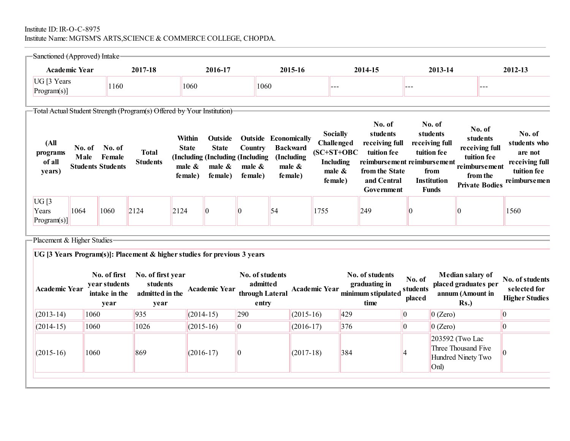## Institute ID: IR-O-C-8975 Institute Name: MGTSM'S ARTS,SCIENCE & COMMERCE COLLEGE, CHOPDA.

| <b>Academic Year</b>                               |                |                                                        | 2017-18                                                                                                                              |                                                       | 2016-17                                                                          |                                                         | 2015-16                                                                           |                                                                                                  |     | 2014-15                                                                                                                 |                                | 2013-14                                               |                                                                                                 | 2012-13                                                                            |
|----------------------------------------------------|----------------|--------------------------------------------------------|--------------------------------------------------------------------------------------------------------------------------------------|-------------------------------------------------------|----------------------------------------------------------------------------------|---------------------------------------------------------|-----------------------------------------------------------------------------------|--------------------------------------------------------------------------------------------------|-----|-------------------------------------------------------------------------------------------------------------------------|--------------------------------|-------------------------------------------------------|-------------------------------------------------------------------------------------------------|------------------------------------------------------------------------------------|
| UG [3 Years]<br>Program(s)]                        |                | 1160                                                   |                                                                                                                                      | 1060                                                  |                                                                                  | 1060                                                    |                                                                                   | ---                                                                                              |     |                                                                                                                         | ---                            |                                                       | $---$                                                                                           |                                                                                    |
|                                                    |                |                                                        | Total Actual Student Strength (Program(s) Offered by Your Institution)                                                               |                                                       |                                                                                  |                                                         |                                                                                   |                                                                                                  |     | No. of                                                                                                                  |                                | No. of                                                | No. of                                                                                          |                                                                                    |
| (A <sup>II</sup> )<br>programs<br>of all<br>years) | No. of<br>Male | No. of<br>Female<br><b>Students Students</b>           | <b>Total</b><br><b>Students</b>                                                                                                      | <b>Within</b><br><b>State</b><br>male $\&$<br>female) | Outside<br><b>State</b><br>(Including (Including (Including<br>male &<br>female) | <b>Country</b><br>male $\&$<br>female)                  | <b>Outside Economically</b><br><b>Backward</b><br>(Including<br>male &<br>female) | <b>Socially</b><br><b>Challenged</b><br>$(SC+ST+OBC$<br><b>Including</b><br>male $\&$<br>female) |     | students<br>receiving full<br>tuition fee<br>reimbursement reimbursement<br>from the State<br>and Central<br>Government | students<br><b>Institution</b> | receiving full<br>tuition fee<br>from<br><b>Funds</b> | students<br>receiving full<br>tuition fee<br>reimbursement<br>from the<br><b>Private Bodies</b> | No. of<br>students who<br>are not<br>receiving full<br>tuition fee<br>reimbursemen |
| UG[3]<br>Years<br>Program(s)]                      | 1064           | 1060                                                   | 2124                                                                                                                                 | 2124                                                  | $ 0\rangle$                                                                      | $\vert 0 \vert$                                         | 54                                                                                | 1755                                                                                             |     | 249                                                                                                                     | $\vert 0 \vert$                |                                                       | $\Omega$                                                                                        | 1560                                                                               |
| <b>Academic Year</b>                               |                | No. of first<br>vear students<br>intake in the<br>year | UG [3 Years Program(s)]: Placement & higher studies for previous 3 years<br>No. of first year<br>students<br>admitted in the<br>year |                                                       | Academic Year                                                                    | No. of students<br>admitted<br>through Lateral<br>entry |                                                                                   | Academic Year                                                                                    |     | No. of students<br>graduating in<br>minimum stipulated<br>time                                                          | No. of<br>students<br>placed   |                                                       | Median salary of<br>placed graduates per<br>annum (Amount in<br>Rs.                             | No. of students<br>selected for<br><b>Higher Studies</b>                           |
| $(2013-14)$                                        | 1060           |                                                        | 935                                                                                                                                  | $(2014-15)$                                           |                                                                                  | 290                                                     |                                                                                   | $(2015-16)$                                                                                      | 429 | $ 0\rangle$                                                                                                             |                                | $0$ (Zero)                                            |                                                                                                 | $ 0\rangle$                                                                        |
|                                                    | 1060           |                                                        | 1026                                                                                                                                 | $(2015-16)$                                           |                                                                                  | $ 0\rangle$                                             |                                                                                   | $(2016-17)$                                                                                      | 376 | $\vert 0 \vert$                                                                                                         |                                | $0$ (Zero)                                            |                                                                                                 | $\mathbf{0}$                                                                       |
| $(2014-15)$                                        |                |                                                        |                                                                                                                                      |                                                       |                                                                                  |                                                         |                                                                                   |                                                                                                  |     |                                                                                                                         |                                | 203592 (Two Lac                                       |                                                                                                 |                                                                                    |